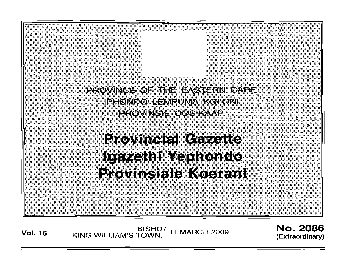

**Vol. <sup>16</sup>** BISHO/ KING WILLIAM'S TOWN , 11 MARCH 2009

No. 2086 **(Extraordinary)**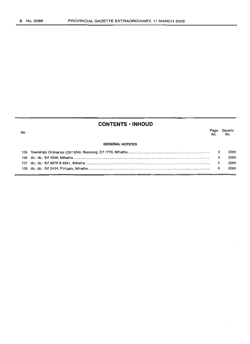# **CONTENTS ·INHOUD**

*Page Gazette* No. No.

#### **GENERAL NOTICES**

|  | 2086 |
|--|------|
|  | 2086 |
|  | 2086 |
|  | 2086 |
|  |      |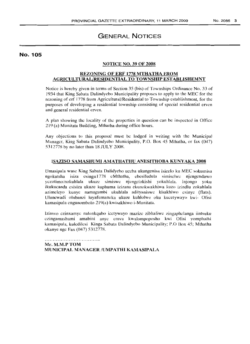# GENERAL NOTICES

### No. 105

#### NOTICE NO. 39 OF 2008

### REZONING OF ERF 1778 MTHATHA FROM AGRICULTURAL/RESIDENTIAL TO TOWNSHIP ESTABLISHEMNT

Notice is hereby given in terms of Section 35 (bis) of Townships Ordinance No. 33 of 1934 that King Sabata Dalindyebo Municipality proposes to apply to the MEC for the rezoning of erf 1778 from Agricultural/Residential to Township establishment, for the purposes of developing a residential township consisting of special residential ervcn and general residential erven,

A plan showing the locality of the properties in question can be inspected in Office 219 (a) Munitata Building, Mthatha during office hours.

Any objections to this proposal must be lodged in writing with the Municipal Manager, King Sabata Dalindyebo Municipality, P.O. Box 45 Mthatha, or fax (047) 5312778 by no later than 18 JULY 200S.

### ISAZISO SAMASHUMI AMATHATHU ANESITHOBA KUN YAKA 2008

Umasipala wasc King Sabata Dalidyebo uccba ukungenisa isicelo ku MEC sokumisa ngokutsha isiza esingu1778 cMthatha, ebcsifudula sirnisclwc njcngcndawo yezolimo/nokuhlala ukuzc simiswc njcngclokishi yokuhlala. Injongo yoku ikukucanda esisiza ukuze kuphuma izizana ekunokwakhiwa kuzo izindlu zokuhlala azimelcyo kunye namagumbi ukuhlala adityaniswc kisakhiwo esinye (flats). Uluncwadi olubanzi luyafumaneka ukuze kuhlolwc oku kucctywayo kwi- Ofisi kamasipala engunombolo 219(a) kwisakhiwo i-Munitata.

Izimvo czinxarnyc nalcnkqubo icetywayo mazizc zibhaliwc zingaphelanga iintsuku ezingamashumi amabini anyc cmva kwalompoposho kwi Ofisi yomphathi kamasipala, kulcdilcsi Kinga Sabata Dalindyebo Municipality; P.O Box 45; Mthatha okanye ngc Fax (047) 5312778.

Mr. M.M.P TOM MUNICIPAL MANAGER /UMPATHI KAMASIPALA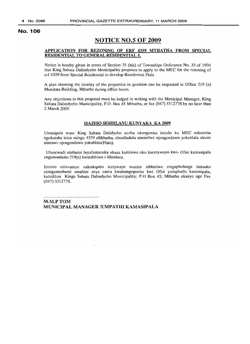## **NOTICE NO.5 OF 2009**

#### APPLICATION FOR REZONING OF ERF 4359 MTHATHA FROM SPECIAL RESIDENTIAL TO GENERAL RESIDENTIAL 1.

Notice is hereby given in terms of Section 35 (bis) of Townships Ordinance No. 33 of 1934 that King Sabata Dalindyebo Municipality proposes to apply to the MEC for the rezoning of erf 4359 from Special Residential to develop Residential Flats

A plan showing the locality of the properties in question can be inspected in Office 219 (a) Munitata Building, Mthatha during office hours.

Any objections to this proposal must be lodged in writing with the Municipal Manager, King Sabata Dalindyebo Municipality, P.O. Box 45 Mthatha, or fax (047) 5312778 by no later than 2 March 2009.

#### ISAZISO SESIHLANU KUNYAKA KA 2009

Umasipala wase King Sabata Dalidyebo uceba ukungenisa isicelo ku MEC sokumisa ngokutsha isiza esingu 4359 eMthatha, ebesifudula simiselwe njengendawo yokuhlala ukuze simiswe njengendawo yokuhlala(Flats).

Uluncwadi olubanzi luyafumaneka ukuze kuhlolwe oku kucetywayo kwi- Ofisi kamasipala engunombolo 219(a) kwisakhiwo i-Munitata.

Izimvo ezinxamye nalenkqubo icetywayo mazize zibhaliwe zingaphelanga iintsuku czingamashumi amabini anye emva kwalompoposho kwi Ofisi yomphathi kamasipala, kuledilcsi Kinga Sabata Dalindyebo Municipality; P.O Box 45; Mthatha okanyc nge Fax (047) 5312778.

M.M.PTOM MUNICIPAL MANAGER /UMPATHI KAMASIPALA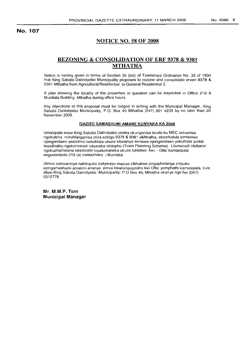## **NOTICE NO. 58 OF 2008**

## **REZONING & CONSOLIDATION OF ERF 9378 & 9381 MTHATHA**

Notice is hereby given in terms of Section 35 (bis) of Townships Ordinance No. 33 of 1934 that King Sabata Dalindyebo Municipality proposes to rezone and consolidate erven 9378 & 9381 Mthatha from Agricultural/Residential to General Residential 3.

A plan showing the locality of the properties in question can be inspected in Office 219 A Munitata Building, Mthatha during office hours.

Any objections to this proposal must be lodged in writing with the Municipal Manager, King Sabata Dalindyebo Municipality, P.O. Box 45 Mthatha (047) 501 4239 by no later than 20 November 2008.

#### **ISAZIZO SAMASHUMI AMANE KUNYAKA KA 2008**

Umasipala wase King Sabata Dalindyebo uceba ukungenisa iscelo ku MEC sokumisa ngokutsha nokuhlanganisa iziza ezingu 9378 & 9381 eMthatha, ebezifudula zimiselwe njengendawo yezolimo/ nokuhlala ukuze sibesinye simiswe njengendawo yokuhlala yodidi Iwesithathu ngokoncwadi lokuceba idolophu (Town Planning Scheme). Ulunwcadi olubanzi ngokuphathelene nesisicelo luyafumaneka ukuze luhlolwe kwi - Otisi kamasipala engunombolo 219 (a) kwisakhiwo i-Munitata.

Izimvo ezinxamnye nalnkqubo icetywayo mazize zibhaliwe zingaphelanga iintsuku ezingamashumi amabini ananye emva kwalompoposho kwi Ofisi yomphathi kamasipala, kule dilesi King Sabata Dalindyebo Municipality; P.O Box 45; Mthatha okanye nge fax (047) 5312778.

**Mr. M.M.P. Tom Municipal Manager**